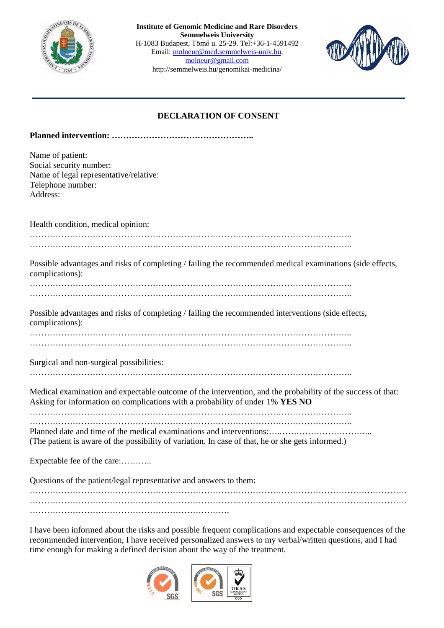

**Institute of Genomic Medicine and Rare Disorders Semmelweis University**  H-1083 Budapest, Tömő u. 25-29. Tel:+36-1-4591492 Email: molneur@med.semmelweis-univ.hu, molneur@gmail.com http://semmelweis.hu/genomikai-medicina/



## **DECLARATION OF CONSENT**

|--|--|

|                                                                                                                              | Name of patient:<br>Social security number:<br>Name of legal representative/relative:<br>Telephone number:<br>Address: |  |
|------------------------------------------------------------------------------------------------------------------------------|------------------------------------------------------------------------------------------------------------------------|--|
|                                                                                                                              | Health condition, medical opinion:                                                                                     |  |
|                                                                                                                              |                                                                                                                        |  |
|                                                                                                                              |                                                                                                                        |  |
| Possible advantages and risks of completing / failing the recommended medical examinations (side effects,<br>complications): |                                                                                                                        |  |
|                                                                                                                              |                                                                                                                        |  |
|                                                                                                                              |                                                                                                                        |  |
|                                                                                                                              | Possible advantages and risks of completing / failing the recommended interventions (side effects,<br>complications):  |  |
|                                                                                                                              |                                                                                                                        |  |

…………………………………………………………………………………………………..

Surgical and non-surgical possibilities:

Medical examination and expectable outcome of the intervention, and the probability of the success of that: Asking for information on complications with a probability of under 1% **YES NO** 

………………………………………………………………………………………………….. …………………………………………………………………………………………………..

Planned date and time of the medical examinations and interventions:….…………………………...

(The patient is aware of the possibility of variation. In case of that, he or she gets informed.)

Expectable fee of the care:............

Questions of the patient/legal representative and answers to them:

…………………………………………………………………………………………………………………… …………………………………………………………………………………………………………………… …………………………………………………………….

I have been informed about the risks and possible frequent complications and expectable consequences of the recommended intervention, I have received personalized answers to my verbal/written questions, and I had time enough for making a defined decision about the way of the treatment.